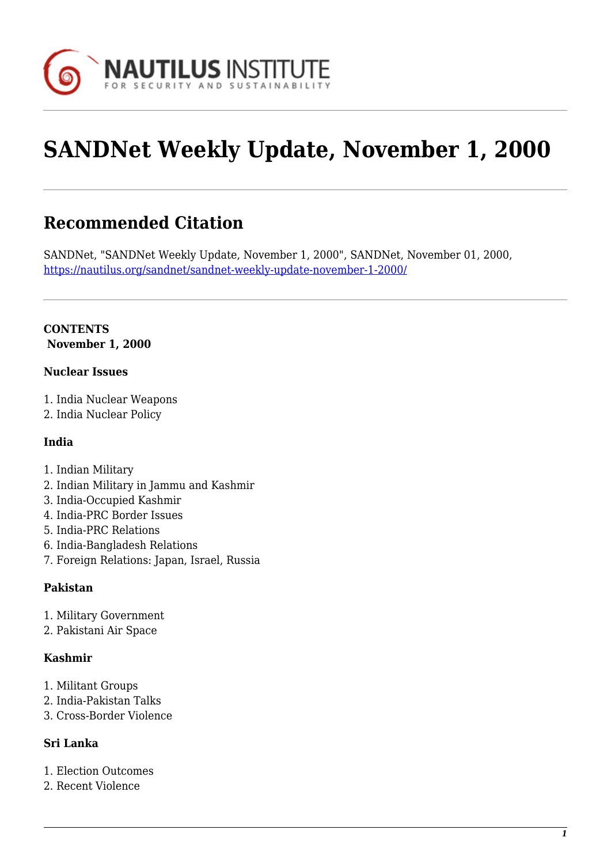

# **SANDNet Weekly Update, November 1, 2000**

# **Recommended Citation**

SANDNet, "SANDNet Weekly Update, November 1, 2000", SANDNet, November 01, 2000, <https://nautilus.org/sandnet/sandnet-weekly-update-november-1-2000/>

#### **CONTENTS November 1, 2000**

#### **Nuclear Issues**

- 1. India Nuclear Weapons
- 2. India Nuclear Policy

#### **India**

- 1. Indian Military
- 2. Indian Military in Jammu and Kashmir
- 3. India-Occupied Kashmir
- 4. India-PRC Border Issues
- 5. India-PRC Relations
- 6. India-Bangladesh Relations
- 7. Foreign Relations: Japan, Israel, Russia

#### **Pakistan**

- 1. Military Government
- 2. Pakistani Air Space

#### **Kashmir**

- 1. Militant Groups
- 2. India-Pakistan Talks
- 3. Cross-Border Violence

#### **Sri Lanka**

- 1. Election Outcomes
- 2. Recent Violence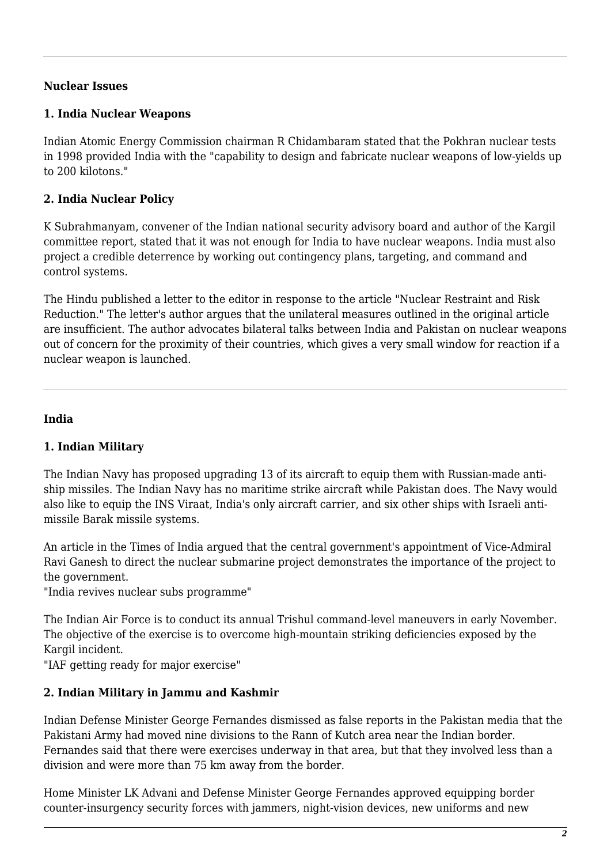#### **Nuclear Issues**

#### **1. India Nuclear Weapons**

Indian Atomic Energy Commission chairman R Chidambaram stated that the Pokhran nuclear tests in 1998 provided India with the "capability to design and fabricate nuclear weapons of low-yields up to 200 kilotons."

# **2. India Nuclear Policy**

K Subrahmanyam, convener of the Indian national security advisory board and author of the Kargil committee report, stated that it was not enough for India to have nuclear weapons. India must also project a credible deterrence by working out contingency plans, targeting, and command and control systems.

The Hindu published a letter to the editor in response to the article "Nuclear Restraint and Risk Reduction." The letter's author argues that the unilateral measures outlined in the original article are insufficient. The author advocates bilateral talks between India and Pakistan on nuclear weapons out of concern for the proximity of their countries, which gives a very small window for reaction if a nuclear weapon is launched.

#### **India**

# **1. Indian Military**

The Indian Navy has proposed upgrading 13 of its aircraft to equip them with Russian-made antiship missiles. The Indian Navy has no maritime strike aircraft while Pakistan does. The Navy would also like to equip the INS Viraat, India's only aircraft carrier, and six other ships with Israeli antimissile Barak missile systems.

An article in the Times of India argued that the central government's appointment of Vice-Admiral Ravi Ganesh to direct the nuclear submarine project demonstrates the importance of the project to the government.

"India revives nuclear subs programme"

The Indian Air Force is to conduct its annual Trishul command-level maneuvers in early November. The objective of the exercise is to overcome high-mountain striking deficiencies exposed by the Kargil incident.

"IAF getting ready for major exercise"

# **2. Indian Military in Jammu and Kashmir**

Indian Defense Minister George Fernandes dismissed as false reports in the Pakistan media that the Pakistani Army had moved nine divisions to the Rann of Kutch area near the Indian border. Fernandes said that there were exercises underway in that area, but that they involved less than a division and were more than 75 km away from the border.

Home Minister LK Advani and Defense Minister George Fernandes approved equipping border counter-insurgency security forces with jammers, night-vision devices, new uniforms and new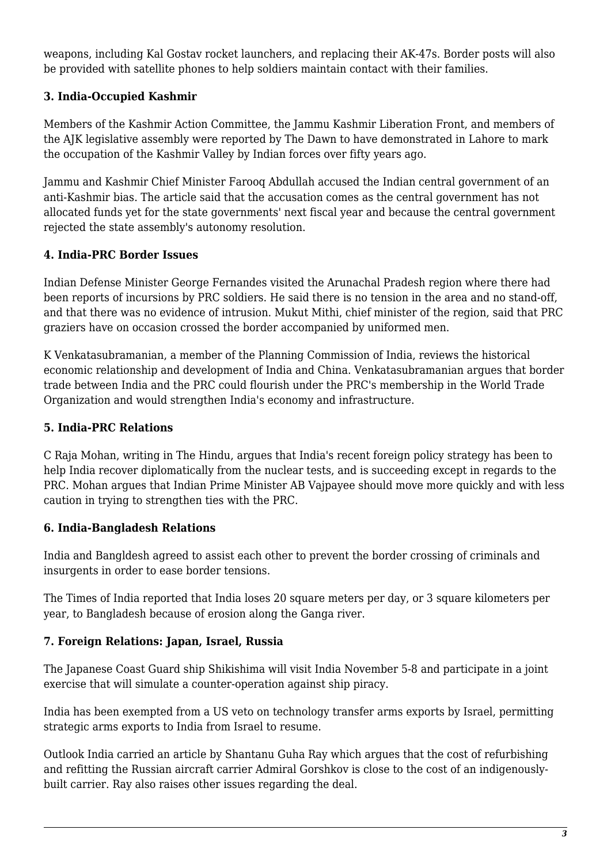weapons, including Kal Gostav rocket launchers, and replacing their AK-47s. Border posts will also be provided with satellite phones to help soldiers maintain contact with their families.

# **3. India-Occupied Kashmir**

Members of the Kashmir Action Committee, the Jammu Kashmir Liberation Front, and members of the AJK legislative assembly were reported by The Dawn to have demonstrated in Lahore to mark the occupation of the Kashmir Valley by Indian forces over fifty years ago.

Jammu and Kashmir Chief Minister Farooq Abdullah accused the Indian central government of an anti-Kashmir bias. The article said that the accusation comes as the central government has not allocated funds yet for the state governments' next fiscal year and because the central government rejected the state assembly's autonomy resolution.

#### **4. India-PRC Border Issues**

Indian Defense Minister George Fernandes visited the Arunachal Pradesh region where there had been reports of incursions by PRC soldiers. He said there is no tension in the area and no stand-off, and that there was no evidence of intrusion. Mukut Mithi, chief minister of the region, said that PRC graziers have on occasion crossed the border accompanied by uniformed men.

K Venkatasubramanian, a member of the Planning Commission of India, reviews the historical economic relationship and development of India and China. Venkatasubramanian argues that border trade between India and the PRC could flourish under the PRC's membership in the World Trade Organization and would strengthen India's economy and infrastructure.

#### **5. India-PRC Relations**

C Raja Mohan, writing in The Hindu, argues that India's recent foreign policy strategy has been to help India recover diplomatically from the nuclear tests, and is succeeding except in regards to the PRC. Mohan argues that Indian Prime Minister AB Vajpayee should move more quickly and with less caution in trying to strengthen ties with the PRC.

#### **6. India-Bangladesh Relations**

India and Bangldesh agreed to assist each other to prevent the border crossing of criminals and insurgents in order to ease border tensions.

The Times of India reported that India loses 20 square meters per day, or 3 square kilometers per year, to Bangladesh because of erosion along the Ganga river.

# **7. Foreign Relations: Japan, Israel, Russia**

The Japanese Coast Guard ship Shikishima will visit India November 5-8 and participate in a joint exercise that will simulate a counter-operation against ship piracy.

India has been exempted from a US veto on technology transfer arms exports by Israel, permitting strategic arms exports to India from Israel to resume.

Outlook India carried an article by Shantanu Guha Ray which argues that the cost of refurbishing and refitting the Russian aircraft carrier Admiral Gorshkov is close to the cost of an indigenouslybuilt carrier. Ray also raises other issues regarding the deal.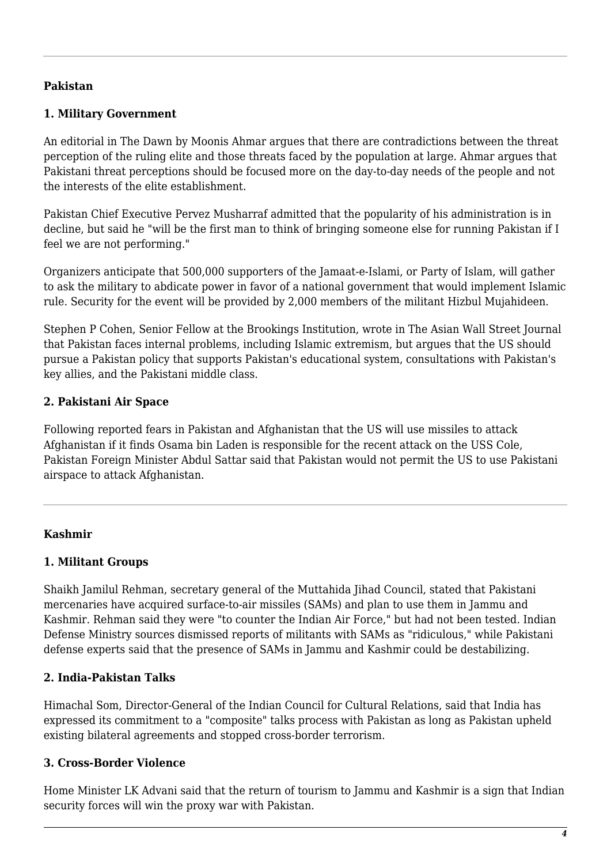#### **Pakistan**

#### **1. Military Government**

An editorial in The Dawn by Moonis Ahmar argues that there are contradictions between the threat perception of the ruling elite and those threats faced by the population at large. Ahmar argues that Pakistani threat perceptions should be focused more on the day-to-day needs of the people and not the interests of the elite establishment.

Pakistan Chief Executive Pervez Musharraf admitted that the popularity of his administration is in decline, but said he "will be the first man to think of bringing someone else for running Pakistan if I feel we are not performing."

Organizers anticipate that 500,000 supporters of the Jamaat-e-Islami, or Party of Islam, will gather to ask the military to abdicate power in favor of a national government that would implement Islamic rule. Security for the event will be provided by 2,000 members of the militant Hizbul Mujahideen.

Stephen P Cohen, Senior Fellow at the Brookings Institution, wrote in The Asian Wall Street Journal that Pakistan faces internal problems, including Islamic extremism, but argues that the US should pursue a Pakistan policy that supports Pakistan's educational system, consultations with Pakistan's key allies, and the Pakistani middle class.

#### **2. Pakistani Air Space**

Following reported fears in Pakistan and Afghanistan that the US will use missiles to attack Afghanistan if it finds Osama bin Laden is responsible for the recent attack on the USS Cole, Pakistan Foreign Minister Abdul Sattar said that Pakistan would not permit the US to use Pakistani airspace to attack Afghanistan.

#### **Kashmir**

#### **1. Militant Groups**

Shaikh Jamilul Rehman, secretary general of the Muttahida Jihad Council, stated that Pakistani mercenaries have acquired surface-to-air missiles (SAMs) and plan to use them in Jammu and Kashmir. Rehman said they were "to counter the Indian Air Force," but had not been tested. Indian Defense Ministry sources dismissed reports of militants with SAMs as "ridiculous," while Pakistani defense experts said that the presence of SAMs in Jammu and Kashmir could be destabilizing.

#### **2. India-Pakistan Talks**

Himachal Som, Director-General of the Indian Council for Cultural Relations, said that India has expressed its commitment to a "composite" talks process with Pakistan as long as Pakistan upheld existing bilateral agreements and stopped cross-border terrorism.

#### **3. Cross-Border Violence**

Home Minister LK Advani said that the return of tourism to Jammu and Kashmir is a sign that Indian security forces will win the proxy war with Pakistan.